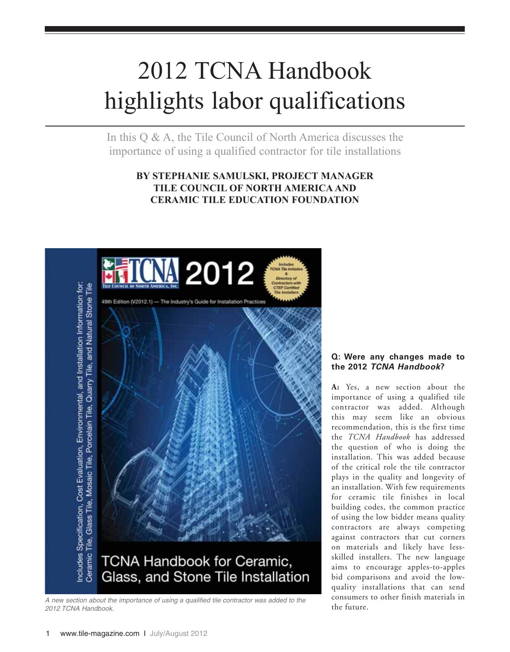# 2012 TCNA Handbook highlights labor qualifications

In this Q & A, the Tile Council of North America discusses the importance of using a qualified contractor for tile installations

## **BY STEPHANIE SAMULSKI, PROJECT MANAGER TILE COUNCIL OF NORTH AMERICA AND CERAMIC TILE EDUCATION FOUNDATION**



*A new section about the importance of using a qualified tile contractor was added to the 2012 TCNA Handbook.*

### **Q: Were any changes made to the 2012** *TCNA Handbook***?**

**A:** Yes, a new section about the importance of using a qualified tile contractor was added. Although this may seem like an obvious recommendation, this is the first time the *TCNA Handbook* has addressed the question of who is doing the installation. This was added because of the critical role the tile contractor plays in the quality and longevity of an installation. With few requirements for ceramic tile finishes in local building codes, the common practice of using the low bidder means quality contractors are always competing against contractors that cut corners on materials and likely have lessskilled installers. The new language aims to encourage apples-to-apples bid comparisons and avoid the lowquality installations that can send consumers to other finish materials in the future.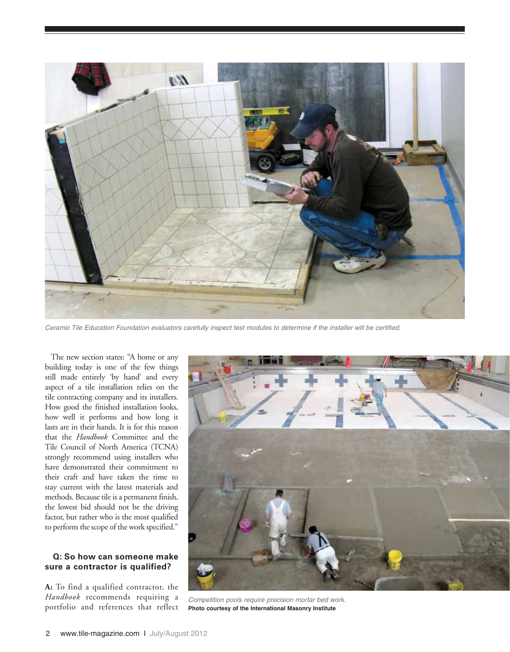

*Ceramic Tile Education Foundation evaluators carefully inspect test modules to determine if the installer will be certified.*

The new section states: "A home or any building today is one of the few things still made entirely 'by hand' and every aspect of a tile installation relies on the tile contracting company and its installers. How good the finished installation looks, how well it performs and how long it lasts are in their hands. It is for this reason that the *Handbook* Committee and the Tile Council of North America (TCNA) strongly recommend using installers who have demonstrated their commitment to their craft and have taken the time to stay current with the latest materials and methods. Because tile is a permanent finish, the lowest bid should not be the driving factor, but rather who is the most qualified to perform the scope of the work specified."

#### **Q: So how can someone make sure a contractor is qualified?**

**A:** To find a qualified contractor, the *Handbook* recommends requiring a



*FLANADOOR* recommends requiring a *Competition pools require precision mortar bed work.*<br>
portfolio and references that reflect **Photo courtesy of the International Masonry Institute Photo courtesy of the International Masonry Institute**